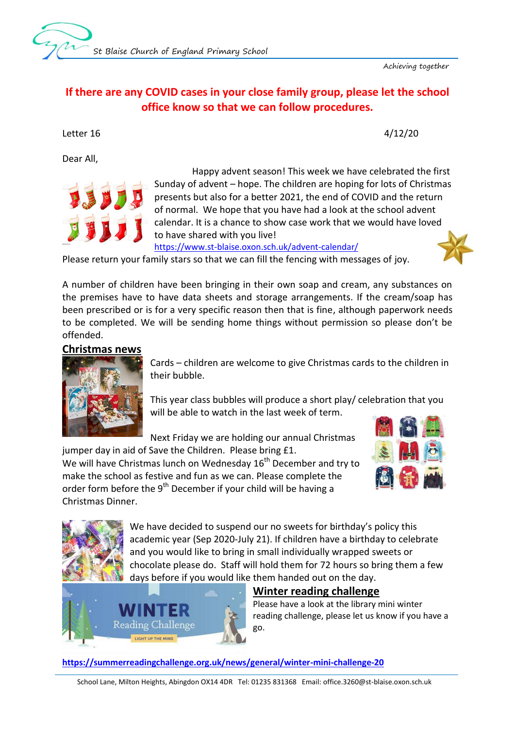Achieving together

# **If there are any COVID cases in your close family group, please let the school office know so that we can follow procedures.**

Letter 16 4/12/20

Dear All,



 Happy advent season! This week we have celebrated the first Sunday of advent – hope. The children are hoping for lots of Christmas presents but also for a better 2021, the end of COVID and the return of normal. We hope that you have had a look at the school advent calendar. It is a chance to show case work that we would have loved to have shared with you live!

<https://www.st-blaise.oxon.sch.uk/advent-calendar/>

Please return your family stars so that we can fill the fencing with messages of joy.

A number of children have been bringing in their own soap and cream, any substances on the premises have to have data sheets and storage arrangements. If the cream/soap has been prescribed or is for a very specific reason then that is fine, although paperwork needs to be completed. We will be sending home things without permission so please don't be offended.

#### **Christmas news**



Cards – children are welcome to give Christmas cards to the children in their bubble.

This year class bubbles will produce a short play/ celebration that you will be able to watch in the last week of term.

Next Friday we are holding our annual Christmas

jumper day in aid of Save the Children. Please bring £1. We will have Christmas lunch on Wednesday  $16<sup>th</sup>$  December and try to make the school as festive and fun as we can. Please complete the order form before the 9<sup>th</sup> December if your child will be having a Christmas Dinner.





We have decided to suspend our no sweets for birthday's policy this academic year (Sep 2020-July 21). If children have a birthday to celebrate and you would like to bring in small individually wrapped sweets or chocolate please do. Staff will hold them for 72 hours so bring them a few days before if you would like them handed out on the day.



#### **Winter reading challenge**

Please have a look at the library mini winter reading challenge, please let us know if you have a go.

**<https://summerreadingchallenge.org.uk/news/general/winter-mini-challenge-20>**

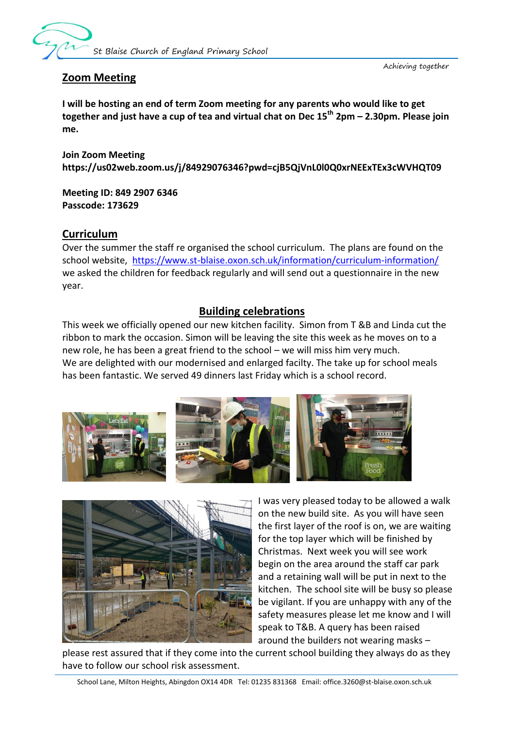

Achieving together

## **Zoom Meeting**

**I will be hosting an end of term Zoom meeting for any parents who would like to get together and just have a cup of tea and virtual chat on Dec 15th 2pm – 2.30pm. Please join me.**

**Join Zoom Meeting https://us02web.zoom.us/j/84929076346?pwd=cjB5QjVnL0l0Q0xrNEExTEx3cWVHQT09**

**Meeting ID: 849 2907 6346 Passcode: 173629**

#### **Curriculum**

Over the summer the staff re organised the school curriculum. The plans are found on the school website, <https://www.st-blaise.oxon.sch.uk/information/curriculum-information/> we asked the children for feedback regularly and will send out a questionnaire in the new year.

## **Building celebrations**

This week we officially opened our new kitchen facility. Simon from T &B and Linda cut the ribbon to mark the occasion. Simon will be leaving the site this week as he moves on to a new role, he has been a great friend to the school – we will miss him very much. We are delighted with our modernised and enlarged facilty. The take up for school meals has been fantastic. We served 49 dinners last Friday which is a school record.





I was very pleased today to be allowed a walk on the new build site. As you will have seen the first layer of the roof is on, we are waiting for the top layer which will be finished by Christmas. Next week you will see work begin on the area around the staff car park and a retaining wall will be put in next to the kitchen. The school site will be busy so please be vigilant. If you are unhappy with any of the safety measures please let me know and I will speak to T&B. A query has been raised around the builders not wearing masks –

please rest assured that if they come into the current school building they always do as they have to follow our school risk assessment.